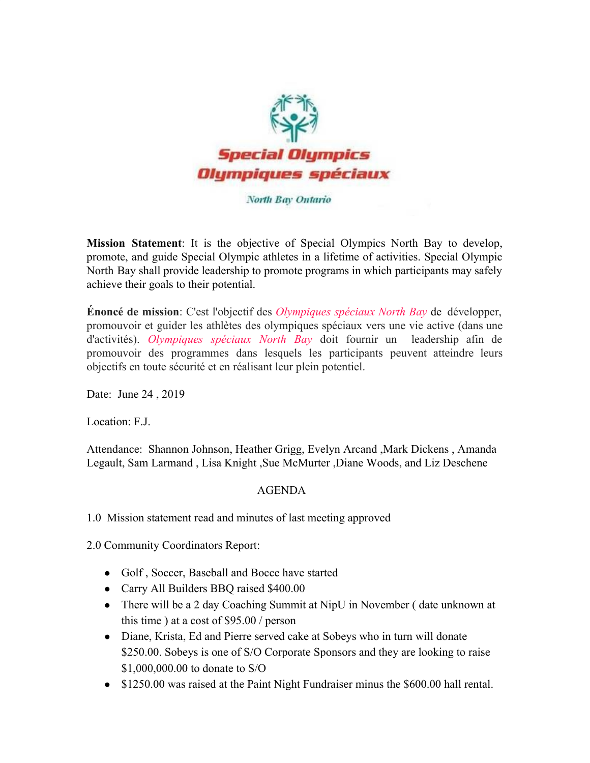

## North Bay Ontario

**Mission Statement**: It is the objective of Special Olympics North Bay to develop, promote, and guide Special Olympic athletes in a lifetime of activities. Special Olympic North Bay shall provide leadership to promote programs in which participants may safely achieve their goals to their potential.

**Énoncé de mission**: C'est l'objectif des *Olympiques spéciaux North Bay* de développer, promouvoir et guider les athlètes des olympiques spéciaux vers une vie active (dans une d'activités). *Olympiques spéciaux North Bay* doit fournir un leadership afin de promouvoir des programmes dans lesquels les participants peuvent atteindre leurs objectifs en toute sécurité et en réalisant leur plein potentiel.

Date: June 24 , 2019

Location: F.J.

Attendance: Shannon Johnson, Heather Grigg, Evelyn Arcand ,Mark Dickens , Amanda Legault, Sam Larmand , Lisa Knight ,Sue McMurter ,Diane Woods, and Liz Deschene

## AGENDA

1.0 Mission statement read and minutes of last meeting approved

2.0 Community Coordinators Report:

- Golf, Soccer, Baseball and Bocce have started
- Carry All Builders BBQ raised \$400.00
- There will be a 2 day Coaching Summit at NipU in November (date unknown at this time ) at a cost of \$95.00 / person
- Diane, Krista, Ed and Pierre served cake at Sobeys who in turn will donate \$250.00. Sobeys is one of S/O Corporate Sponsors and they are looking to raise \$1,000,000.00 to donate to S/O
- \$1250.00 was raised at the Paint Night Fundraiser minus the \$600.00 hall rental.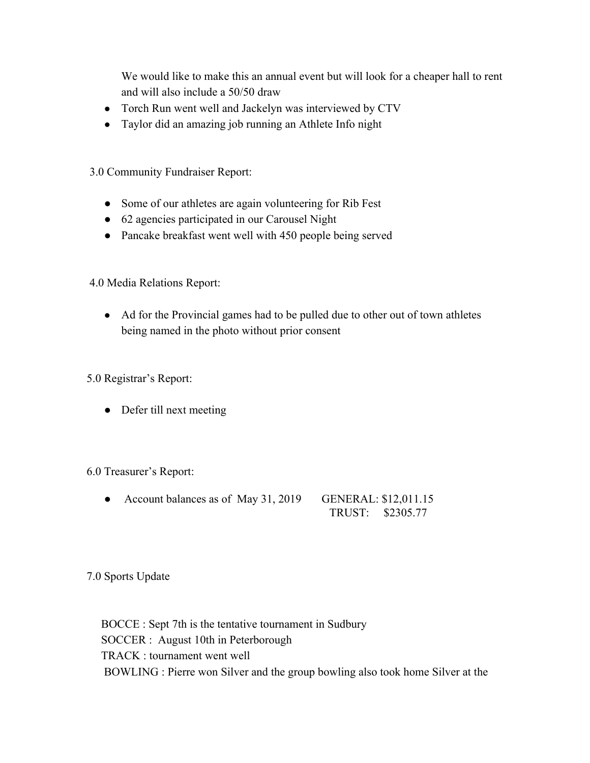We would like to make this an annual event but will look for a cheaper hall to rent and will also include a 50/50 draw

- Torch Run went well and Jackelyn was interviewed by CTV
- Taylor did an amazing job running an Athlete Info night

3.0 Community Fundraiser Report:

- Some of our athletes are again volunteering for Rib Fest
- 62 agencies participated in our Carousel Night
- Pancake breakfast went well with 450 people being served

4.0 Media Relations Report:

• Ad for the Provincial games had to be pulled due to other out of town athletes being named in the photo without prior consent

5.0 Registrar's Report:

• Defer till next meeting

6.0 Treasurer's Report:

• Account balances as of May 31, 2019 GENERAL: \$12,011.15 TRUST: \$2305.77

7.0 Sports Update

 BOCCE : Sept 7th is the tentative tournament in Sudbury SOCCER : August 10th in Peterborough TRACK : tournament went well BOWLING : Pierre won Silver and the group bowling also took home Silver at the